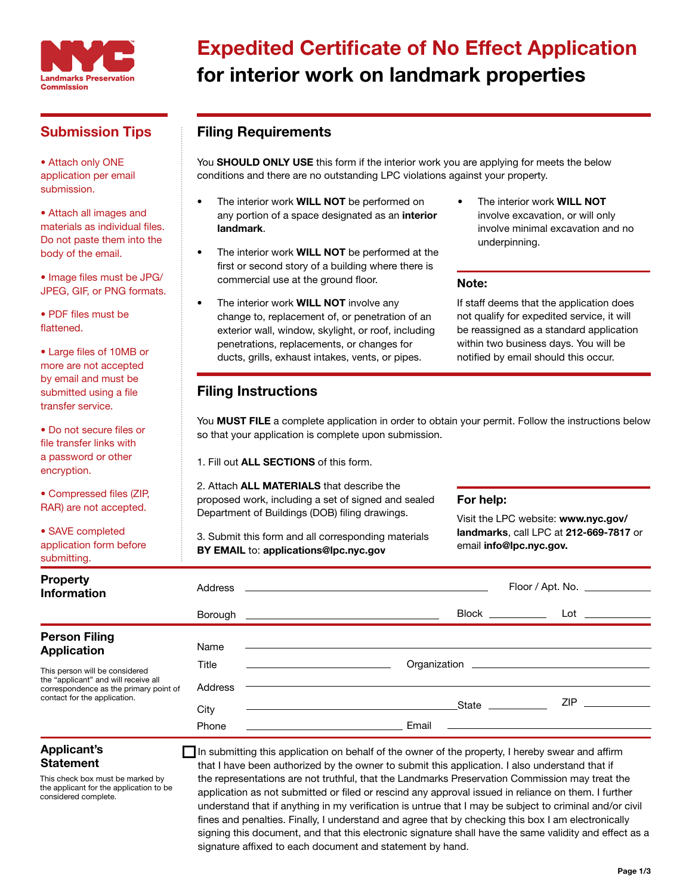

## Submission Tips

• Attach only ONE application per email submission.

• Attach all images and materials as individual files. Do not paste them into the body of the email.

• Image files must be JPG/ JPEG, GIF, or PNG formats.

• PDF files must be flattened.

• Large files of 10MB or more are not accepted by email and must be submitted using a file transfer service.

• Do not secure files or file transfer links with a password or other encryption.

• Compressed files (ZIP, RAR) are not accepted.

• SAVE completed application form before submitting.

## Expedited Certificate of No Effect Application for interior work on landmark properties

## Filing Requirements

You SHOULD ONLY USE this form if the interior work you are applying for meets the below conditions and there are no outstanding LPC violations against your property.

- The interior work **WILL NOT** be performed on any portion of a space designated as an interior landmark.
- The interior work **WILL NOT** be performed at the first or second story of a building where there is commercial use at the ground floor.
- The interior work **WILL NOT** involve any change to, replacement of, or penetration of an exterior wall, window, skylight, or roof, including penetrations, replacements, or changes for ducts, grills, exhaust intakes, vents, or pipes.
- The interior work WILL NOT involve excavation, or will only involve minimal excavation and no underpinning.

### Note:

If staff deems that the application does not qualify for expedited service, it will be reassigned as a standard application within two business days. You will be notified by email should this occur.

### Filing Instructions

You MUST FILE a complete application in order to obtain your permit. Follow the instructions below so that your application is complete upon submission.

1. Fill out ALL SECTIONS of this form.

2. Attach ALL MATERIALS that describe the proposed work, including a set of signed and sealed Department of Buildings (DOB) filing drawings.

3. Submit this form and all corresponding materials BY EMAIL to: applications@lpc.nyc.gov

#### For help:

Visit the LPC website: www.nyc.gov/ landmarks, call LPC at 212-669-7817 or email info@lpc.nyc.gov.

| submitting.                                                                                                                                      |         |                                                                                                                |
|--------------------------------------------------------------------------------------------------------------------------------------------------|---------|----------------------------------------------------------------------------------------------------------------|
| <b>Property</b><br><b>Information</b>                                                                                                            |         | $Floor /$ Apt. No. $\_\_\_\_\_\_\_\_\_\_\_\_\_\_\_\_\_\_\_\_\_\_$                                              |
|                                                                                                                                                  |         | $B$ orough $\qquad \qquad$                                                                                     |
| <b>Person Filing</b><br><b>Application</b>                                                                                                       | Name    |                                                                                                                |
| This person will be considered<br>the "applicant" and will receive all<br>correspondence as the primary point of<br>contact for the application. | Title   |                                                                                                                |
|                                                                                                                                                  | Address |                                                                                                                |
|                                                                                                                                                  | City    | ZIP POSTAGE AND THE STATE OF THE STATE OF THE STATE OF THE STATE OF THE STATE OF THE STATE OF THE STATE OF THE |
|                                                                                                                                                  | Phone   | Email                                                                                                          |

#### Applicant's **Statement**

This check box must be marked by the applicant for the application to be considered complete.

In submitting this application on behalf of the owner of the property, I hereby swear and affirm that I have been authorized by the owner to submit this application. I also understand that if the representations are not truthful, that the Landmarks Preservation Commission may treat the application as not submitted or filed or rescind any approval issued in reliance on them. I further understand that if anything in my verification is untrue that I may be subject to criminal and/or civil fines and penalties. Finally, I understand and agree that by checking this box I am electronically signing this document, and that this electronic signature shall have the same validity and effect as a signature affixed to each document and statement by hand.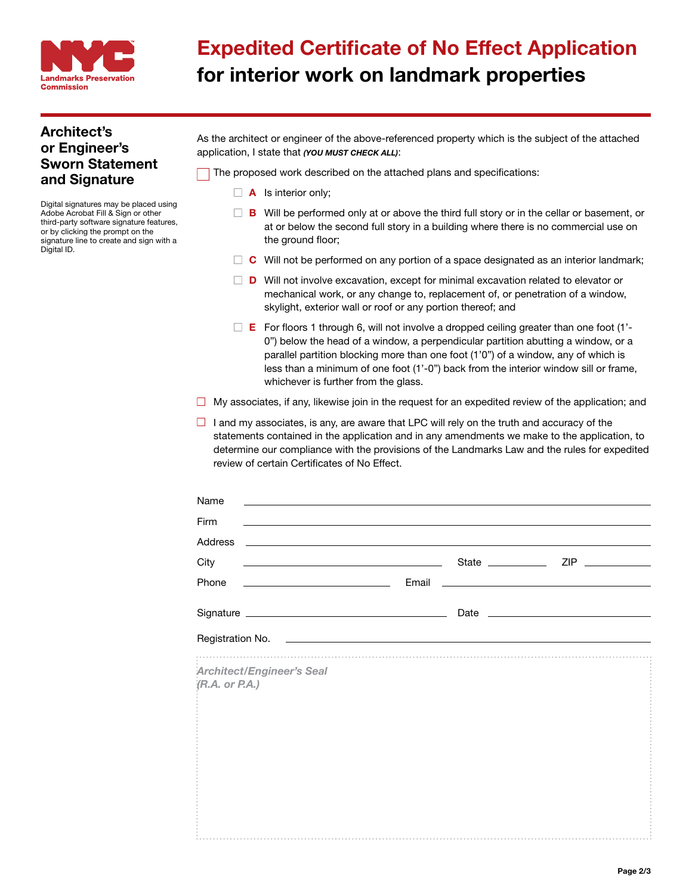

## Expedited Certificate of No Effect Application for interior work on landmark properties

### Architect's or Engineer's Sworn Statement and Signature

Digital signatures may be placed using Adobe Acrobat Fill & Sign or other third-party software signature features, or by clicking the prompt on the signature line to create and sign with a Digital ID.

| As the architect or engineer of the above-referenced property which is the subject of the attached |
|----------------------------------------------------------------------------------------------------|
| application, I state that (YOU MUST CHECK ALL):                                                    |

The proposed work described on the attached plans and specifications:

- $\Box$  **A** Is interior only;
- $\Box$  **B** Will be performed only at or above the third full story or in the cellar or basement, or at or below the second full story in a building where there is no commercial use on the ground floor;
- $\Box$  C Will not be performed on any portion of a space designated as an interior landmark;
- $\square$  **D** Will not involve excavation, except for minimal excavation related to elevator or mechanical work, or any change to, replacement of, or penetration of a window, skylight, exterior wall or roof or any portion thereof; and
- $\Box$  **E** For floors 1 through 6, will not involve a dropped ceiling greater than one foot (1'-0") below the head of a window, a perpendicular partition abutting a window, or a parallel partition blocking more than one foot (1'0") of a window, any of which is less than a minimum of one foot (1'-0") back from the interior window sill or frame, whichever is further from the glass.
- $\Box$  My associates, if any, likewise join in the request for an expedited review of the application; and
- $\Box$  I and my associates, is any, are aware that LPC will rely on the truth and accuracy of the statements contained in the application and in any amendments we make to the application, to determine our compliance with the provisions of the Landmarks Law and the rules for expedited review of certain Certificates of No Effect.

| Name                                                                                                                         |  |  |
|------------------------------------------------------------------------------------------------------------------------------|--|--|
| Firm<br>,我们也不会有什么。""我们的人,我们也不会有什么?""我们的人,我们也不会有什么?""我们的人,我们也不会有什么?""我们的人,我们也不会有什么?""我们的人                                     |  |  |
| Address                                                                                                                      |  |  |
| City<br><u> Alexandria de la contrada de la contrada de la contrada de la contrada de la contrada de la contrada de la c</u> |  |  |
|                                                                                                                              |  |  |
|                                                                                                                              |  |  |
| Registration No. 2008 Communication of the Communication of the Communication of the Communication of the Comm               |  |  |
| <b>Architect/Engineer's Seal</b><br>$(R.A.$ or $PA.$ )                                                                       |  |  |